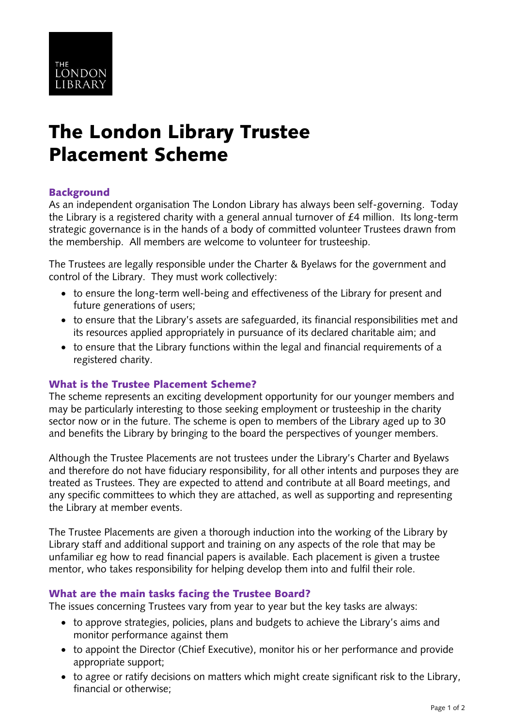

# The London Library Trustee Placement Scheme

# **Background**

As an independent organisation The London Library has always been self-governing. Today the Library is a registered charity with a general annual turnover of £4 million. Its long-term strategic governance is in the hands of a body of committed volunteer Trustees drawn from the membership. All members are welcome to volunteer for trusteeship.

The Trustees are legally responsible under the Charter & Byelaws for the government and control of the Library. They must work collectively:

- to ensure the long-term well-being and effectiveness of the Library for present and future generations of users;
- to ensure that the Library's assets are safeguarded, its financial responsibilities met and its resources applied appropriately in pursuance of its declared charitable aim; and
- to ensure that the Library functions within the legal and financial requirements of a registered charity.

# What is the Trustee Placement Scheme?

The scheme represents an exciting development opportunity for our younger members and may be particularly interesting to those seeking employment or trusteeship in the charity sector now or in the future. The scheme is open to members of the Library aged up to 30 and benefits the Library by bringing to the board the perspectives of younger members.

Although the Trustee Placements are not trustees under the Library's Charter and Byelaws and therefore do not have fiduciary responsibility, for all other intents and purposes they are treated as Trustees. They are expected to attend and contribute at all Board meetings, and any specific committees to which they are attached, as well as supporting and representing the Library at member events.

The Trustee Placements are given a thorough induction into the working of the Library by Library staff and additional support and training on any aspects of the role that may be unfamiliar eg how to read financial papers is available. Each placement is given a trustee mentor, who takes responsibility for helping develop them into and fulfil their role.

# What are the main tasks facing the Trustee Board?

The issues concerning Trustees vary from year to year but the key tasks are always:

- to approve strategies, policies, plans and budgets to achieve the Library's aims and monitor performance against them
- to appoint the Director (Chief Executive), monitor his or her performance and provide appropriate support;
- to agree or ratify decisions on matters which might create significant risk to the Library, financial or otherwise;